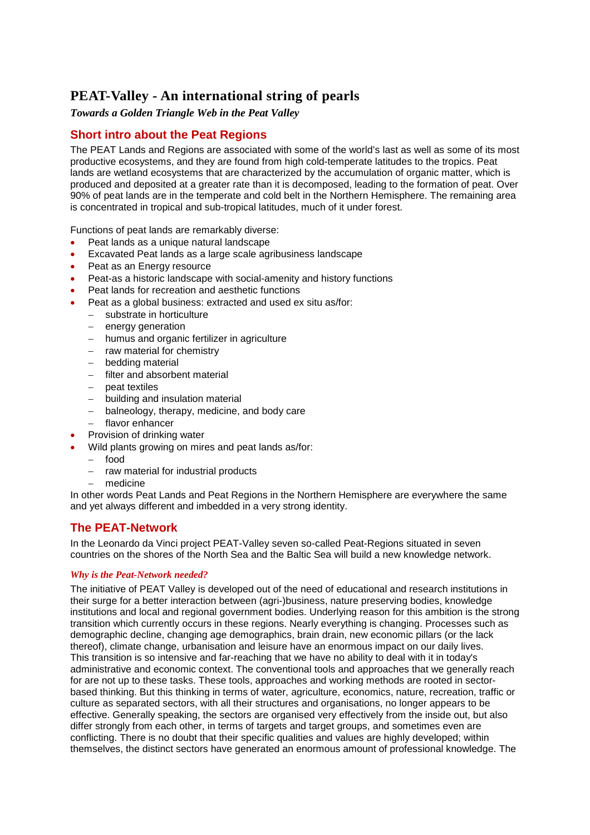# **PEAT-Valley - An international string of pearls**

# *Towards a Golden Triangle Web in the Peat Valley*

# **Short intro about the Peat Regions**

The PEAT Lands and Regions are associated with some of the world's last as well as some of its most productive ecosystems, and they are found from high cold-temperate latitudes to the tropics. Peat lands are wetland ecosystems that are characterized by the accumulation of organic matter, which is produced and deposited at a greater rate than it is decomposed, leading to the formation of peat. Over 90% of peat lands are in the temperate and cold belt in the Northern Hemisphere. The remaining area is concentrated in tropical and sub-tropical latitudes, much of it under forest.

Functions of peat lands are remarkably diverse:

- Peat lands as a unique natural landscape
- Excavated Peat lands as a large scale agribusiness landscape
- Peat as an Energy resource
- Peat-as a historic landscape with social-amenity and history functions
- Peat lands for recreation and aesthetic functions
- Peat as a global business: extracted and used ex situ as/for:
	- substrate in horticulture
	- $-$  energy generation
	- humus and organic fertilizer in agriculture
	- $-$  raw material for chemistry
	- bedding material
	- filter and absorbent material
	- $-$  peat textiles
	- building and insulation material
	- balneology, therapy, medicine, and body care
	- flavor enhancer
- Provision of drinking water
	- Wild plants growing on mires and peat lands as/for:
	- food
	- raw material for industrial products
	- medicine

In other words Peat Lands and Peat Regions in the Northern Hemisphere are everywhere the same and yet always different and imbedded in a very strong identity.

# **The PEAT-Network**

In the Leonardo da Vinci project PEAT-Valley seven so-called Peat-Regions situated in seven countries on the shores of the North Sea and the Baltic Sea will build a new knowledge network.

### *Why is the Peat-Network needed?*

The initiative of PEAT Valley is developed out of the need of educational and research institutions in their surge for a better interaction between (agri-)business, nature preserving bodies, knowledge institutions and local and regional government bodies. Underlying reason for this ambition is the strong transition which currently occurs in these regions. Nearly everything is changing. Processes such as demographic decline, changing age demographics, brain drain, new economic pillars (or the lack thereof), climate change, urbanisation and leisure have an enormous impact on our daily lives. This transition is so intensive and far-reaching that we have no ability to deal with it in today's administrative and economic context. The conventional tools and approaches that we generally reach for are not up to these tasks. These tools, approaches and working methods are rooted in sectorbased thinking. But this thinking in terms of water, agriculture, economics, nature, recreation, traffic or culture as separated sectors, with all their structures and organisations, no longer appears to be effective. Generally speaking, the sectors are organised very effectively from the inside out, but also differ strongly from each other, in terms of targets and target groups, and sometimes even are conflicting. There is no doubt that their specific qualities and values are highly developed; within themselves, the distinct sectors have generated an enormous amount of professional knowledge. The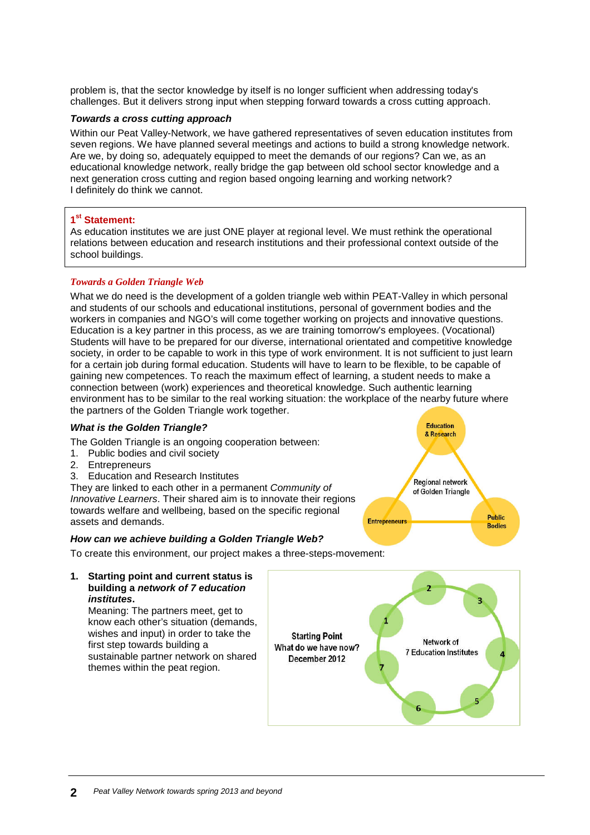problem is, that the sector knowledge by itself is no longer sufficient when addressing today's challenges. But it delivers strong input when stepping forward towards a cross cutting approach.

#### *Towards a cross cutting approach*

Within our Peat Valley-Network, we have gathered representatives of seven education institutes from seven regions. We have planned several meetings and actions to build a strong knowledge network. Are we, by doing so, adequately equipped to meet the demands of our regions? Can we, as an educational knowledge network, really bridge the gap between old school sector knowledge and a next generation cross cutting and region based ongoing learning and working network? I definitely do think we cannot.

# **1 st Statement:**

As education institutes we are just ONE player at regional level. We must rethink the operational relations between education and research institutions and their professional context outside of the school buildings.

# *Towards a Golden Triangle Web*

What we do need is the development of a golden triangle web within PEAT-Valley in which personal and students of our schools and educational institutions, personal of government bodies and the workers in companies and NGO's will come together working on projects and innovative questions. Education is a key partner in this process, as we are training tomorrow's employees. (Vocational) Students will have to be prepared for our diverse, international orientated and competitive knowledge society, in order to be capable to work in this type of work environment. It is not sufficient to just learn for a certain job during formal education. Students will have to learn to be flexible, to be capable of gaining new competences. To reach the maximum effect of learning, a student needs to make a connection between (work) experiences and theoretical knowledge. Such authentic learning environment has to be similar to the real working situation: the workplace of the nearby future where the partners of the Golden Triangle work together.

### *What is the Golden Triangle?*

The Golden Triangle is an ongoing cooperation between:

- 1. Public bodies and civil society
- 2. Entrepreneurs
- 3. Education and Research Institutes

They are linked to each other in a permanent *Community of Innovative Learners*. Their shared aim is to innovate their regions towards welfare and wellbeing, based on the specific regional assets and demands.

### *How can we achieve building a Golden Triangle Web?*

To create this environment, our project makes a three-steps-movement:



Meaning: The partners meet, get to know each other's situation (demands, wishes and input) in order to take the first step towards building a sustainable partner network on shared themes within the peat region.



**Entrepreneurs** 

**Education** & Research

Regional network of Golden Triangle

**Public** 

**Bodies**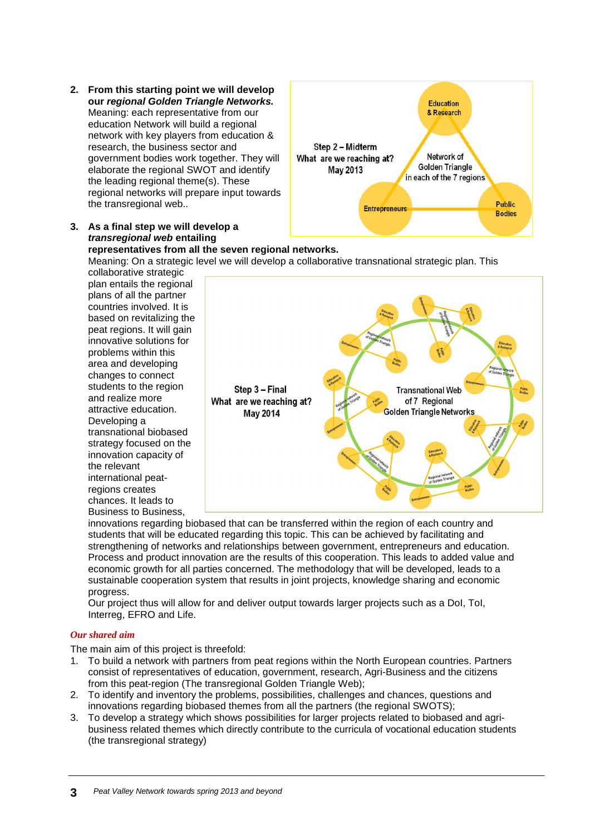**2. From this starting point we will develop our** *regional Golden Triangle Networks.* Meaning: each representative from our education Network will build a regional network with key players from education & research, the business sector and government bodies work together. They will elaborate the regional SWOT and identify the leading regional theme(s). These regional networks will prepare input towards the transregional web..



# **representatives from all the seven regional networks.**

Meaning: On a strategic level we will develop a collaborative transnational strategic plan. This collaborative strategic

plan entails the regional plans of all the partner countries involved. It is based on revitalizing the peat regions. It will gain innovative solutions for problems within this area and developing changes to connect students to the region and realize more attractive education. Developing a transnational biobased strategy focused on the innovation capacity of the relevant international peatregions creates chances. It leads to Business to Business,



innovations regarding biobased that can be transferred within the region of each country and students that will be educated regarding this topic. This can be achieved by facilitating and strengthening of networks and relationships between government, entrepreneurs and education. Process and product innovation are the results of this cooperation. This leads to added value and economic growth for all parties concerned. The methodology that will be developed, leads to a sustainable cooperation system that results in joint projects, knowledge sharing and economic progress.

Our project thus will allow for and deliver output towards larger projects such as a DoI, ToI, Interreg, EFRO and Life.

### *Our shared aim*

The main aim of this project is threefold:

- 1. To build a network with partners from peat regions within the North European countries. Partners consist of representatives of education, government, research, Agri-Business and the citizens from this peat-region (The transregional Golden Triangle Web);
- 2. To identify and inventory the problems, possibilities, challenges and chances, questions and innovations regarding biobased themes from all the partners (the regional SWOTS);
- 3. To develop a strategy which shows possibilities for larger projects related to biobased and agribusiness related themes which directly contribute to the curricula of vocational education students (the transregional strategy)